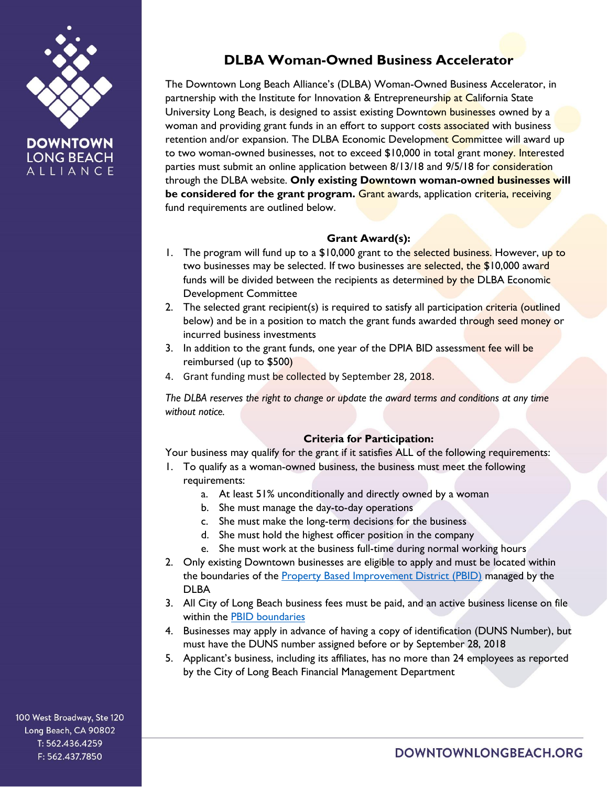

**LONG BEACH** ALLIANCE

# **DLBA Woman-Owned Business Accelerator**

The Downtown Long Beach Alliance's (DLBA) Woman-Owned Business Accelerator, in partnership with the Institute for Innovation & Entrepreneurship at California State University Long Beach, is designed to assist existing Downtown businesses owned by a woman and providing grant funds in an effort to support costs associated with business retention and/or expansion. The DLBA Economic Development Committee will award up to two woman-owned businesses, not to exceed \$10,000 in total grant money. Interested parties must submit an online application between 8/13/18 and 9/5/18 for consideration through the DLBA website. **Only existing Downtown woman-owned businesses will be considered for the grant program.** Grant awards, application criteria, receiving fund requirements are outlined below.

#### **Grant Award(s):**

- 1. The program will fund up to a \$10,000 grant to the selected business. However, up to two businesses may be selected. If two businesses are selected, the \$10,000 award funds will be divided between the recipients as determined by the DLBA Economic Development Committee
- 2. The selected grant recipient(s) is required to satisfy all participation criteria (outlined below) and be in a position to match the grant funds awarded through seed money or incurred business investments
- 3. In addition to the grant funds, one year of the DPIA BID assessment fee will be reimbursed (up to \$500)
- 4. Grant funding must be collected by September 28, 2018.

*The DLBA reserves the right to change or update the award terms and conditions at any time without notice.*

## **Criteria for Participation:**

Your business may qualify for the grant if it satisfies ALL of the following requirements:

- 1. To qualify as a woman-owned business, the business must meet the following requirements:
	- a. At least 51% unconditionally and directly owned by a woman
	- b. She must manage the day-to-day operations
	- c. She must make the long-term decisions for the business
	- d. She must hold the highest officer position in the company
	- e. She must work at the business full-time during normal working hours
- 2. Only existing Downtown businesses are eligible to apply and must be located within the boundaries of the [Property Based Improvement District \(PBID\)](https://downtownlongbeach.org/wp-content/uploads/2017/01/PBID-Boundaries-Map.pdf) managed by the DLBA
- 3. All City of Long Beach business fees must be paid, and an active business license on file within the **PBID** [boundaries](https://downtownlongbeach.org/wp-content/uploads/2017/01/PBID-Boundaries-Map.pdf)
- 4. Businesses may apply in advance of having a copy of identification (DUNS Number), but must have the DUNS number assigned before or by September 28, 2018
- 5. Applicant's business, including its affiliates, has no more than 24 employees as reported by the City of Long Beach Financial Management Department

100 West Broadway, Ste 120 Long Beach, CA 90802 T: 562.436.4259 F: 562.437.7850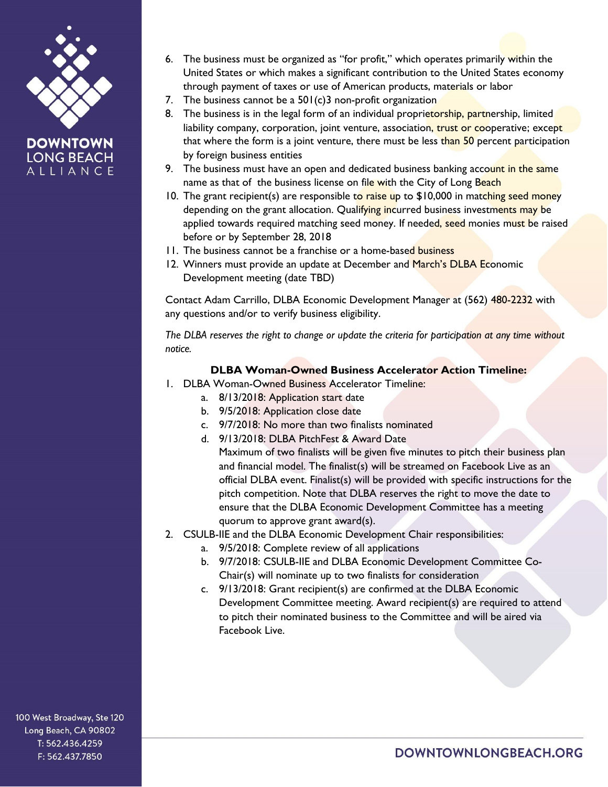

**LONG BEACH** ALLIANCE 6. The business must be organized as "for profit," which operates primarily within the United States or which makes a significant contribution to the United States economy through payment of taxes or use of American products, materials or labor

- 7. The business cannot be a  $501(c)$ 3 non-profit organization
- 8. The business is in the legal form of an individual proprietorship, partnership, limited liability company, corporation, joint venture, association, trust or cooperative; except that where the form is a joint venture, there must be less than 50 percent participation by foreign business entities
- 9. The business must have an open and dedicated business banking account in the same name as that of the business license on file with the City of Long Beach
- 10. The grant recipient(s) are responsible to raise up to \$10,000 in matching seed money depending on the grant allocation. Qualifying incurred business investments may be applied towards required matching seed money. If needed, seed monies must be raised before or by September 28, 2018
- 11. The business cannot be a franchise or a home-based business
- 12. Winners must provide an update at December and March's DLBA Economic Development meeting (date TBD)

Contact Adam Carrillo, DLBA Economic Development Manager at (562) 480-2232 with any questions and/or to verify business eligibility.

*The DLBA reserves the right to change or update the criteria for participation at any time without notice.*

### **DLBA Woman-Owned Business Accelerator Action Timeline:**

- 1. DLBA Woman-Owned Business Accelerator Timeline:
	- a. 8/13/2018: Application start date
	- b. 9/5/2018: Application close date
	- c. 9/7/2018: No more than two finalists nominated
	- d. 9/13/2018: DLBA PitchFest & Award Date
	- Maximum of two finalists will be given five minutes to pitch their business plan and financial model. The finalist(s) will be streamed on Facebook Live as an official DLBA event. Finalist(s) will be provided with specific instructions for the pitch competition. Note that DLBA reserves the right to move the date to ensure that the DLBA Economic Development Committee has a meeting quorum to approve grant award(s).
- 2. CSULB-IIE and the DLBA Economic Development Chair responsibilities:
	- a. 9/5/2018: Complete review of all applications
	- b. 9/7/2018: CSULB-IIE and DLBA Economic Development Committee Co-Chair(s) will nominate up to two finalists for consideration
	- c. 9/13/2018: Grant recipient(s) are confirmed at the DLBA Economic Development Committee meeting. Award recipient(s) are required to attend to pitch their nominated business to the Committee and will be aired via Facebook Live.

100 West Broadway, Ste 120 Long Beach, CA 90802 T: 562.436.4259 F: 562.437.7850